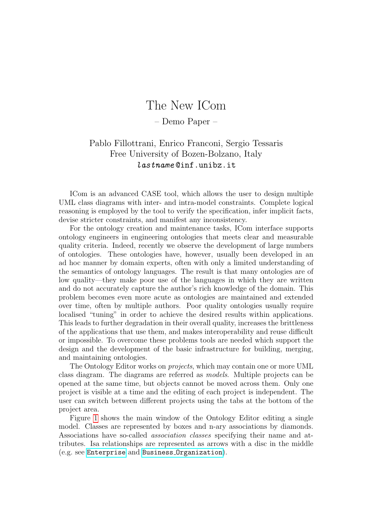## The New ICom

– Demo Paper –

## Pablo Fillottrani, Enrico Franconi, Sergio Tessaris Free University of Bozen-Bolzano, Italy lastname @inf.unibz.it

ICom is an advanced CASE tool, which allows the user to design multiple UML class diagrams with inter- and intra-model constraints. Complete logical reasoning is employed by the tool to verify the specification, infer implicit facts, devise stricter constraints, and manifest any inconsistency.

For the ontology creation and maintenance tasks, ICom interface supports ontology engineers in engineering ontologies that meets clear and measurable quality criteria. Indeed, recently we observe the development of large numbers of ontologies. These ontologies have, however, usually been developed in an ad hoc manner by domain experts, often with only a limited understanding of the semantics of ontology languages. The result is that many ontologies are of low quality—they make poor use of the languages in which they are written and do not accurately capture the author's rich knowledge of the domain. This problem becomes even more acute as ontologies are maintained and extended over time, often by multiple authors. Poor quality ontologies usually require localised "tuning" in order to achieve the desired results within applications. This leads to further degradation in their overall quality, increases the brittleness of the applications that use them, and makes interoperability and reuse difficult or impossible. To overcome these problems tools are needed which support the design and the development of the basic infrastructure for building, merging, and maintaining ontologies.

The Ontology Editor works on *projects*, which may contain one or more UML class diagram. The diagrams are referred as models. Multiple projects can be opened at the same time, but objects cannot be moved across them. Only one project is visible at a time and the editing of each project is independent. The user can switch between different projects using the tabs at the bottom of the project area.

Figure [1](#page-1-0) shows the main window of the Ontology Editor editing a single model. Classes are represented by boxes and n-ary associations by diamonds. Associations have so-called association classes specifying their name and attributes. Isa relationships are represented as arrows with a disc in the middle (e.g. see <Enterprise> and Business [Organization](Business_Organization)).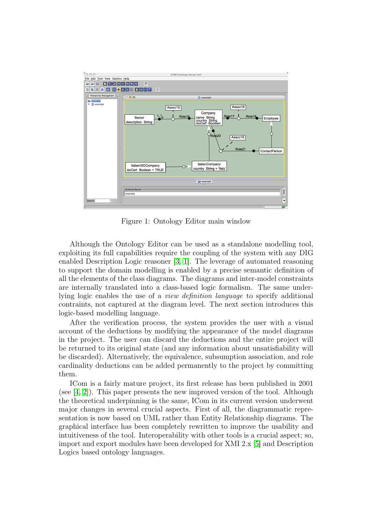

<span id="page-1-0"></span>Figure 1: Ontology Editor main window

Although the Ontology Editor can be used as a standalone modelling tool, exploiting its full capabilities require the coupling of the system with any DIG enabled Description Logic reasoner [\[3,](#page-2-0) [1\]](#page-2-1). The leverage of automated reasoning to support the domain modelling is enabled by a precise semantic definition of all the elements of the class diagrams. The diagrams and inter-model constraints are internally translated into a class-based logic formalism. The same underlying logic enables the use of a view definition language to specify additional contraints, not captured at the diagram level. The next section introduces this logic-based modelling language.

After the verification process, the system provides the user with a visual account of the deductions by modifying the appearance of the model diagrams in the project. The user can discard the deductions and the entire project will be returned to its original state (and any information about unsatisfiability will be discarded). Alternatively, the equivalence, subsumption association, and role cardinality deductions can be added permanently to the project by committing them.

ICom is a fairly mature project, its first release has been published in 2001 (see [\[4,](#page-2-2) [2\]](#page-2-3)). This paper presents the new improved version of the tool. Although the theoretical underpinning is the same, ICom in its current version underwent major changes in several crucial aspects. First of all, the diagrammatic representation is now based on UML rather than Entity Relationship diagrams. The graphical interface has been completely rewritten to improve the usability and intuitiveness of the tool. Interoperability with other tools is a crucial aspect; so, import and export modules have been developed for XMI 2.x [\[5\]](#page-2-4) and Description Logics based ontology languages.